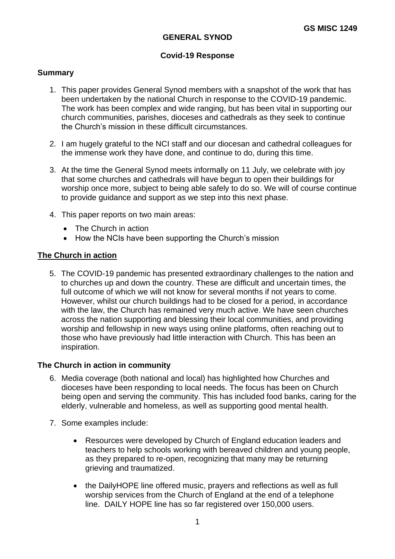## **GENERAL SYNOD**

# **Covid-19 Response**

## **Summary**

- 1. This paper provides General Synod members with a snapshot of the work that has been undertaken by the national Church in response to the COVID-19 pandemic. The work has been complex and wide ranging, but has been vital in supporting our church communities, parishes, dioceses and cathedrals as they seek to continue the Church's mission in these difficult circumstances.
- 2. I am hugely grateful to the NCI staff and our diocesan and cathedral colleagues for the immense work they have done, and continue to do, during this time.
- 3. At the time the General Synod meets informally on 11 July, we celebrate with joy that some churches and cathedrals will have begun to open their buildings for worship once more, subject to being able safely to do so. We will of course continue to provide guidance and support as we step into this next phase.
- 4. This paper reports on two main areas:
	- The Church in action
	- How the NCIs have been supporting the Church's mission

### **The Church in action**

5. The COVID-19 pandemic has presented extraordinary challenges to the nation and to churches up and down the country. These are difficult and uncertain times, the full outcome of which we will not know for several months if not years to come. However, whilst our church buildings had to be closed for a period, in accordance with the law, the Church has remained very much active. We have seen churches across the nation supporting and blessing their local communities, and providing worship and fellowship in new ways using online platforms, often reaching out to those who have previously had little interaction with Church. This has been an inspiration.

#### **The Church in action in community**

- 6. Media coverage (both national and local) has highlighted how Churches and dioceses have been responding to local needs. The focus has been on Church being open and serving the community. This has included food banks, caring for the elderly, vulnerable and homeless, as well as supporting good mental health.
- 7. Some examples include:
	- Resources were developed by Church of England education leaders and teachers to help schools working with bereaved children and young people, as they prepared to re-open, recognizing that many may be returning grieving and traumatized.
	- the DailyHOPE line offered music, prayers and reflections as well as full worship services from the Church of England at the end of a telephone line. DAILY HOPE line has so far registered over 150,000 users.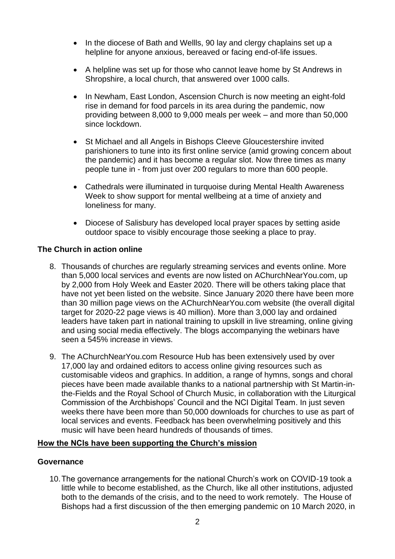- In the diocese of Bath and Wellls, 90 lay and clergy chaplains set up a helpline for anyone anxious, bereaved or facing end-of-life issues.
- A helpline was set up for those who cannot leave home by St Andrews in Shropshire, a local church, that answered over 1000 calls.
- In Newham, East London, Ascension Church is now meeting an eight-fold rise in demand for food parcels in its area during the pandemic, now providing between 8,000 to 9,000 meals per week – and more than 50,000 since lockdown.
- St Michael and all Angels in Bishops Cleeve Gloucestershire invited parishioners to tune into its first online service (amid growing concern about the pandemic) and it has become a regular slot. Now three times as many people tune in - from just over 200 regulars to more than 600 people.
- Cathedrals were illuminated in turquoise during Mental Health Awareness Week to show support for mental wellbeing at a time of anxiety and loneliness for many.
- Diocese of Salisbury has developed local prayer spaces by setting aside outdoor space to visibly encourage those seeking a place to pray.

# **The Church in action online**

- 8. Thousands of churches are regularly streaming services and events online. More than 5,000 local services and events are now listed on AChurchNearYou.com, up by 2,000 from Holy Week and Easter 2020. There will be others taking place that have not yet been listed on the website. Since January 2020 there have been more than 30 million page views on the AChurchNearYou.com website (the overall digital target for 2020-22 page views is 40 million). More than 3,000 lay and ordained leaders have taken part in national training to upskill in live streaming, online giving and using social media effectively. The blogs accompanying the webinars have seen a 545% increase in views.
- 9. The AChurchNearYou.com Resource Hub has been extensively used by over 17,000 lay and ordained editors to access online giving resources such as customisable videos and graphics. In addition, a range of hymns, songs and choral pieces have been made available thanks to a national partnership with St Martin-inthe-Fields and the Royal School of Church Music, in collaboration with the Liturgical Commission of the Archbishops' Council and the NCI Digital Team. In just seven weeks there have been more than 50,000 downloads for churches to use as part of local services and events. Feedback has been overwhelming positively and this music will have been heard hundreds of thousands of times.

## **How the NCIs have been supporting the Church's mission**

#### **Governance**

10.The governance arrangements for the national Church's work on COVID-19 took a little while to become established, as the Church, like all other institutions, adjusted both to the demands of the crisis, and to the need to work remotely. The House of Bishops had a first discussion of the then emerging pandemic on 10 March 2020, in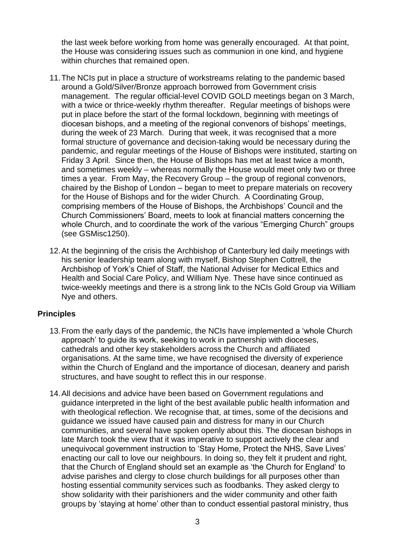the last week before working from home was generally encouraged. At that point, the House was considering issues such as communion in one kind, and hygiene within churches that remained open.

- 11.The NCIs put in place a structure of workstreams relating to the pandemic based around a Gold/Silver/Bronze approach borrowed from Government crisis management. The regular official-level COVID GOLD meetings began on 3 March, with a twice or thrice-weekly rhythm thereafter. Regular meetings of bishops were put in place before the start of the formal lockdown, beginning with meetings of diocesan bishops, and a meeting of the regional convenors of bishops' meetings, during the week of 23 March. During that week, it was recognised that a more formal structure of governance and decision-taking would be necessary during the pandemic, and regular meetings of the House of Bishops were instituted, starting on Friday 3 April. Since then, the House of Bishops has met at least twice a month, and sometimes weekly – whereas normally the House would meet only two or three times a year. From May, the Recovery Group – the group of regional convenors, chaired by the Bishop of London – began to meet to prepare materials on recovery for the House of Bishops and for the wider Church. A Coordinating Group, comprising members of the House of Bishops, the Archbishops' Council and the Church Commissioners' Board, meets to look at financial matters concerning the whole Church, and to coordinate the work of the various "Emerging Church" groups (see GSMisc1250).
- 12.At the beginning of the crisis the Archbishop of Canterbury led daily meetings with his senior leadership team along with myself, Bishop Stephen Cottrell, the Archbishop of York's Chief of Staff, the National Adviser for Medical Ethics and Health and Social Care Policy, and William Nye. These have since continued as twice-weekly meetings and there is a strong link to the NCIs Gold Group via William Nye and others.

## **Principles**

- 13.From the early days of the pandemic, the NCIs have implemented a 'whole Church approach' to guide its work, seeking to work in partnership with dioceses, cathedrals and other key stakeholders across the Church and affiliated organisations. At the same time, we have recognised the diversity of experience within the Church of England and the importance of diocesan, deanery and parish structures, and have sought to reflect this in our response.
- 14.All decisions and advice have been based on Government regulations and guidance interpreted in the light of the best available public health information and with theological reflection. We recognise that, at times, some of the decisions and guidance we issued have caused pain and distress for many in our Church communities, and several have spoken openly about this. The diocesan bishops in late March took the view that it was imperative to support actively the clear and unequivocal government instruction to 'Stay Home, Protect the NHS, Save Lives' enacting our call to love our neighbours. In doing so, they felt it prudent and right, that the Church of England should set an example as 'the Church for England' to advise parishes and clergy to close church buildings for all purposes other than hosting essential community services such as foodbanks. They asked clergy to show solidarity with their parishioners and the wider community and other faith groups by 'staying at home' other than to conduct essential pastoral ministry, thus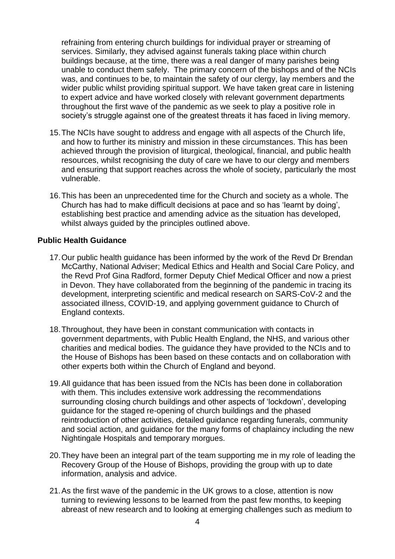refraining from entering church buildings for individual prayer or streaming of services. Similarly, they advised against funerals taking place within church buildings because, at the time, there was a real danger of many parishes being unable to conduct them safely. The primary concern of the bishops and of the NCIs was, and continues to be, to maintain the safety of our clergy, lay members and the wider public whilst providing spiritual support. We have taken great care in listening to expert advice and have worked closely with relevant government departments throughout the first wave of the pandemic as we seek to play a positive role in society's struggle against one of the greatest threats it has faced in living memory.

- 15.The NCIs have sought to address and engage with all aspects of the Church life, and how to further its ministry and mission in these circumstances. This has been achieved through the provision of liturgical, theological, financial, and public health resources, whilst recognising the duty of care we have to our clergy and members and ensuring that support reaches across the whole of society, particularly the most vulnerable.
- 16.This has been an unprecedented time for the Church and society as a whole. The Church has had to make difficult decisions at pace and so has 'learnt by doing', establishing best practice and amending advice as the situation has developed, whilst always guided by the principles outlined above.

## **Public Health Guidance**

- 17.Our public health guidance has been informed by the work of the Revd Dr Brendan McCarthy, National Adviser; Medical Ethics and Health and Social Care Policy, and the Revd Prof Gina Radford, former Deputy Chief Medical Officer and now a priest in Devon. They have collaborated from the beginning of the pandemic in tracing its development, interpreting scientific and medical research on SARS-CoV-2 and the associated illness, COVID-19, and applying government guidance to Church of England contexts.
- 18.Throughout, they have been in constant communication with contacts in government departments, with Public Health England, the NHS, and various other charities and medical bodies. The guidance they have provided to the NCIs and to the House of Bishops has been based on these contacts and on collaboration with other experts both within the Church of England and beyond.
- 19.All guidance that has been issued from the NCIs has been done in collaboration with them. This includes extensive work addressing the recommendations surrounding closing church buildings and other aspects of 'lockdown', developing guidance for the staged re-opening of church buildings and the phased reintroduction of other activities, detailed guidance regarding funerals, community and social action, and guidance for the many forms of chaplaincy including the new Nightingale Hospitals and temporary morgues.
- 20.They have been an integral part of the team supporting me in my role of leading the Recovery Group of the House of Bishops, providing the group with up to date information, analysis and advice.
- 21.As the first wave of the pandemic in the UK grows to a close, attention is now turning to reviewing lessons to be learned from the past few months, to keeping abreast of new research and to looking at emerging challenges such as medium to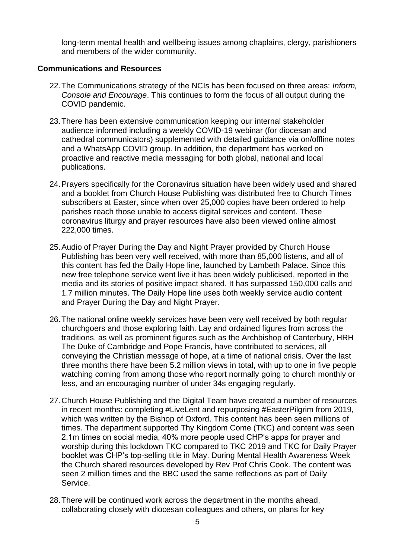long-term mental health and wellbeing issues among chaplains, clergy, parishioners and members of the wider community.

### **Communications and Resources**

- 22.The Communications strategy of the NCIs has been focused on three areas: *Inform, Console and Encourage*. This continues to form the focus of all output during the COVID pandemic.
- 23.There has been extensive communication keeping our internal stakeholder audience informed including a weekly COVID-19 webinar (for diocesan and cathedral communicators) supplemented with detailed guidance via on/offline notes and a WhatsApp COVID group. In addition, the department has worked on proactive and reactive media messaging for both global, national and local publications.
- 24.Prayers specifically for the Coronavirus situation have been widely used and shared and a booklet from Church House Publishing was distributed free to Church Times subscribers at Easter, since when over 25,000 copies have been ordered to help parishes reach those unable to access digital services and content. These coronavirus liturgy and prayer resources have also been viewed online almost 222,000 times.
- 25.Audio of Prayer During the Day and Night Prayer provided by Church House Publishing has been very well received, with more than 85,000 listens, and all of this content has fed the Daily Hope line, launched by Lambeth Palace. Since this new free telephone service went live it has been widely publicised, reported in the media and its stories of positive impact shared. It has surpassed 150,000 calls and 1.7 million minutes. The Daily Hope line uses both weekly service audio content and Prayer During the Day and Night Prayer.
- 26.The national online weekly services have been very well received by both regular churchgoers and those exploring faith. Lay and ordained figures from across the traditions, as well as prominent figures such as the Archbishop of Canterbury, HRH The Duke of Cambridge and Pope Francis, have contributed to services, all conveying the Christian message of hope, at a time of national crisis. Over the last three months there have been 5.2 million views in total, with up to one in five people watching coming from among those who report normally going to church monthly or less, and an encouraging number of under 34s engaging regularly.
- 27.Church House Publishing and the Digital Team have created a number of resources in recent months: completing #LiveLent and repurposing #EasterPilgrim from 2019, which was written by the Bishop of Oxford. This content has been seen millions of times. The department supported Thy Kingdom Come (TKC) and content was seen 2.1m times on social media, 40% more people used CHP's apps for prayer and worship during this lockdown TKC compared to TKC 2019 and TKC for Daily Prayer booklet was CHP's top-selling title in May. During Mental Health Awareness Week the Church shared resources developed by Rev Prof Chris Cook. The content was seen 2 million times and the BBC used the same reflections as part of Daily Service.
- 28.There will be continued work across the department in the months ahead, collaborating closely with diocesan colleagues and others, on plans for key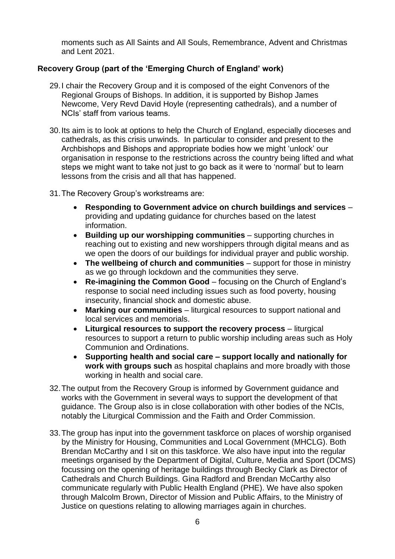moments such as All Saints and All Souls, Remembrance, Advent and Christmas and Lent 2021.

# **Recovery Group (part of the 'Emerging Church of England' work)**

- 29.I chair the Recovery Group and it is composed of the eight Convenors of the Regional Groups of Bishops. In addition, it is supported by Bishop James Newcome, Very Revd David Hoyle (representing cathedrals), and a number of NCIs' staff from various teams.
- 30.Its aim is to look at options to help the Church of England, especially dioceses and cathedrals, as this crisis unwinds. In particular to consider and present to the Archbishops and Bishops and appropriate bodies how we might 'unlock' our organisation in response to the restrictions across the country being lifted and what steps we might want to take not just to go back as it were to 'normal' but to learn lessons from the crisis and all that has happened.
- 31.The Recovery Group's workstreams are:
	- **Responding to Government advice on church buildings and services** providing and updating guidance for churches based on the latest information.
	- **Building up our worshipping communities** supporting churches in reaching out to existing and new worshippers through digital means and as we open the doors of our buildings for individual prayer and public worship.
	- **The wellbeing of church and communities** support for those in ministry as we go through lockdown and the communities they serve.
	- **Re-imagining the Common Good** focusing on the Church of England's response to social need including issues such as food poverty, housing insecurity, financial shock and domestic abuse.
	- **Marking our communities** liturgical resources to support national and local services and memorials.
	- **Liturgical resources to support the recovery process** liturgical resources to support a return to public worship including areas such as Holy Communion and Ordinations.
	- **Supporting health and social care – support locally and nationally for work with groups such** as hospital chaplains and more broadly with those working in health and social care.
- 32.The output from the Recovery Group is informed by Government guidance and works with the Government in several ways to support the development of that guidance. The Group also is in close collaboration with other bodies of the NCIs, notably the Liturgical Commission and the Faith and Order Commission.
- 33.The group has input into the government taskforce on places of worship organised by the Ministry for Housing, Communities and Local Government (MHCLG). Both Brendan McCarthy and I sit on this taskforce. We also have input into the regular meetings organised by the Department of Digital, Culture, Media and Sport (DCMS) focussing on the opening of heritage buildings through Becky Clark as Director of Cathedrals and Church Buildings. Gina Radford and Brendan McCarthy also communicate regularly with Public Health England (PHE). We have also spoken through Malcolm Brown, Director of Mission and Public Affairs, to the Ministry of Justice on questions relating to allowing marriages again in churches.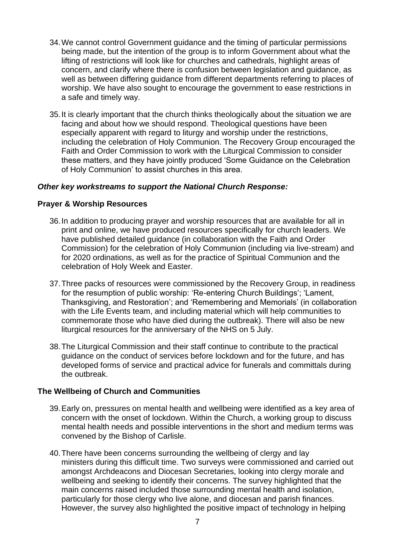- 34.We cannot control Government guidance and the timing of particular permissions being made, but the intention of the group is to inform Government about what the lifting of restrictions will look like for churches and cathedrals, highlight areas of concern, and clarify where there is confusion between legislation and guidance, as well as between differing guidance from different departments referring to places of worship. We have also sought to encourage the government to ease restrictions in a safe and timely way.
- 35.It is clearly important that the church thinks theologically about the situation we are facing and about how we should respond. Theological questions have been especially apparent with regard to liturgy and worship under the restrictions, including the celebration of Holy Communion. The Recovery Group encouraged the Faith and Order Commission to work with the Liturgical Commission to consider these matters, and they have jointly produced 'Some Guidance on the Celebration of Holy Communion' to assist churches in this area.

### *Other key workstreams to support the National Church Response:*

### **Prayer & Worship Resources**

- 36.In addition to producing prayer and worship resources that are available for all in print and online, we have produced resources specifically for church leaders. We have published detailed guidance (in collaboration with the Faith and Order Commission) for the celebration of Holy Communion (including via live-stream) and for 2020 ordinations, as well as for the practice of Spiritual Communion and the celebration of Holy Week and Easter.
- 37.Three packs of resources were commissioned by the Recovery Group, in readiness for the resumption of public worship: 'Re-entering Church Buildings'; 'Lament, Thanksgiving, and Restoration'; and 'Remembering and Memorials' (in collaboration with the Life Events team, and including material which will help communities to commemorate those who have died during the outbreak). There will also be new liturgical resources for the anniversary of the NHS on 5 July.
- 38.The Liturgical Commission and their staff continue to contribute to the practical guidance on the conduct of services before lockdown and for the future, and has developed forms of service and practical advice for funerals and committals during the outbreak.

## **The Wellbeing of Church and Communities**

- 39.Early on, pressures on mental health and wellbeing were identified as a key area of concern with the onset of lockdown. Within the Church, a working group to discuss mental health needs and possible interventions in the short and medium terms was convened by the Bishop of Carlisle.
- 40.There have been concerns surrounding the wellbeing of clergy and lay ministers during this difficult time. Two surveys were commissioned and carried out amongst Archdeacons and Diocesan Secretaries, looking into clergy morale and wellbeing and seeking to identify their concerns. The survey highlighted that the main concerns raised included those surrounding mental health and isolation, particularly for those clergy who live alone, and diocesan and parish finances. However, the survey also highlighted the positive impact of technology in helping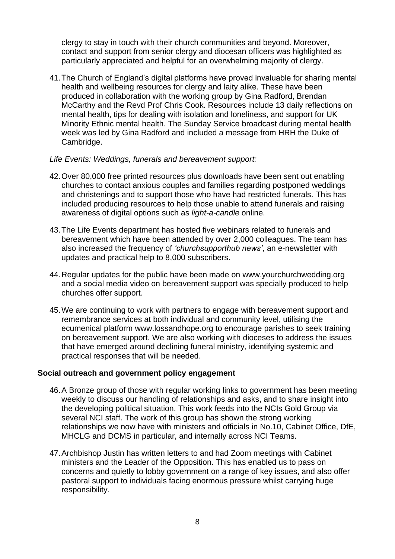clergy to stay in touch with their church communities and beyond. Moreover, contact and support from senior clergy and diocesan officers was highlighted as particularly appreciated and helpful for an overwhelming majority of clergy.

41.The Church of England's digital platforms have proved invaluable for sharing mental health and wellbeing resources for clergy and laity alike. These have been produced in collaboration with the working group by Gina Radford, Brendan McCarthy and the Revd Prof Chris Cook. Resources include 13 daily reflections on mental health, tips for dealing with isolation and loneliness, and support for UK Minority Ethnic mental health. The Sunday Service broadcast during mental health week was led by Gina Radford and included a message from HRH the Duke of Cambridge.

#### *Life Events: Weddings, funerals and bereavement support:*

- 42.Over 80,000 free printed resources plus downloads have been sent out enabling churches to contact anxious couples and families regarding postponed weddings and christenings and to support those who have had restricted funerals. This has included producing resources to help those unable to attend funerals and raising awareness of digital options such as *light-a-candle* online.
- 43.The Life Events department has hosted five webinars related to funerals and bereavement which have been attended by over 2,000 colleagues. The team has also increased the frequency of *'churchsupporthub news'*, an e-newsletter with updates and practical help to 8,000 subscribers.
- 44.Regular updates for the public have been made on www.yourchurchwedding.org and a social media video on bereavement support was specially produced to help churches offer support.
- 45.We are continuing to work with partners to engage with bereavement support and remembrance services at both individual and community level, utilising the ecumenical platform [www.lossandhope.org](http://www.lossandhope.org/) to encourage parishes to seek training on bereavement support. We are also working with dioceses to address the issues that have emerged around declining funeral ministry, identifying systemic and practical responses that will be needed.

#### **Social outreach and government policy engagement**

- 46.A Bronze group of those with regular working links to government has been meeting weekly to discuss our handling of relationships and asks, and to share insight into the developing political situation. This work feeds into the NCIs Gold Group via several NCI staff. The work of this group has shown the strong working relationships we now have with ministers and officials in No.10, Cabinet Office, DfE, MHCLG and DCMS in particular, and internally across NCI Teams.
- 47.Archbishop Justin has written letters to and had Zoom meetings with Cabinet ministers and the Leader of the Opposition. This has enabled us to pass on concerns and quietly to lobby government on a range of key issues, and also offer pastoral support to individuals facing enormous pressure whilst carrying huge responsibility.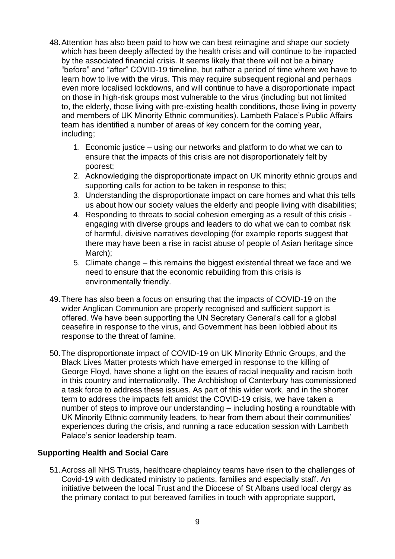- 48.Attention has also been paid to how we can best reimagine and shape our society which has been deeply affected by the health crisis and will continue to be impacted by the associated financial crisis. It seems likely that there will not be a binary "before" and "after" COVID-19 timeline, but rather a period of time where we have to learn how to live with the virus. This may require subsequent regional and perhaps even more localised lockdowns, and will continue to have a disproportionate impact on those in high-risk groups most vulnerable to the virus (including but not limited to, the elderly, those living with pre-existing health conditions, those living in poverty and members of UK Minority Ethnic communities). Lambeth Palace's Public Affairs team has identified a number of areas of key concern for the coming year, including;
	- 1. Economic justice using our networks and platform to do what we can to ensure that the impacts of this crisis are not disproportionately felt by poorest;
	- 2. Acknowledging the disproportionate impact on UK minority ethnic groups and supporting calls for action to be taken in response to this;
	- 3. Understanding the disproportionate impact on care homes and what this tells us about how our society values the elderly and people living with disabilities;
	- 4. Responding to threats to social cohesion emerging as a result of this crisis engaging with diverse groups and leaders to do what we can to combat risk of harmful, divisive narratives developing (for example reports suggest that there may have been a rise in racist abuse of people of Asian heritage since March);
	- 5. Climate change this remains the biggest existential threat we face and we need to ensure that the economic rebuilding from this crisis is environmentally friendly.
- 49.There has also been a focus on ensuring that the impacts of COVID-19 on the wider Anglican Communion are properly recognised and sufficient support is offered. We have been supporting the UN Secretary General's call for a global ceasefire in response to the virus, and Government has been lobbied about its response to the threat of famine.
- 50.The disproportionate impact of COVID-19 on UK Minority Ethnic Groups, and the Black Lives Matter protests which have emerged in response to the killing of George Floyd, have shone a light on the issues of racial inequality and racism both in this country and internationally. The Archbishop of Canterbury has commissioned a task force to address these issues. As part of this wider work, and in the shorter term to address the impacts felt amidst the COVID-19 crisis, we have taken a number of steps to improve our understanding – including hosting a roundtable with UK Minority Ethnic community leaders, to hear from them about their communities' experiences during the crisis, and running a race education session with Lambeth Palace's senior leadership team.

# **Supporting Health and Social Care**

51.Across all NHS Trusts, healthcare chaplaincy teams have risen to the challenges of Covid-19 with dedicated ministry to patients, families and especially staff. An initiative between the local Trust and the Diocese of St Albans used local clergy as the primary contact to put bereaved families in touch with appropriate support,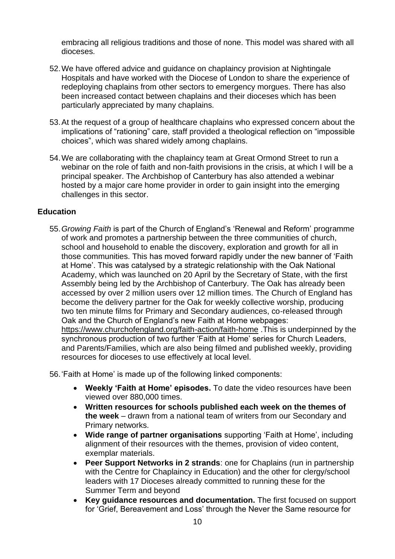embracing all religious traditions and those of none. This model was shared with all dioceses.

- 52.We have offered advice and guidance on chaplaincy provision at Nightingale Hospitals and have worked with the Diocese of London to share the experience of redeploying chaplains from other sectors to emergency morgues. There has also been increased contact between chaplains and their dioceses which has been particularly appreciated by many chaplains.
- 53.At the request of a group of healthcare chaplains who expressed concern about the implications of "rationing" care, staff provided a theological reflection on "impossible choices", which was shared widely among chaplains.
- 54.We are collaborating with the chaplaincy team at Great Ormond Street to run a webinar on the role of faith and non-faith provisions in the crisis, at which I will be a principal speaker. The Archbishop of Canterbury has also attended a webinar hosted by a major care home provider in order to gain insight into the emerging challenges in this sector.

## **Education**

55.*Growing Faith* is part of the Church of England's 'Renewal and Reform' programme of work and promotes a partnership between the three communities of church, school and household to enable the discovery, exploration and growth for all in those communities. This has moved forward rapidly under the new banner of 'Faith at Home'. This was catalysed by a strategic relationship with the Oak National Academy, which was launched on 20 April by the Secretary of State, with the first Assembly being led by the Archbishop of Canterbury. The Oak has already been accessed by over 2 million users over 12 million times. The Church of England has become the delivery partner for the Oak for weekly collective worship, producing two ten minute films for Primary and Secondary audiences, co-released through Oak and the Church of England's new Faith at Home webpages: <https://www.churchofengland.org/faith-action/faith-home> .This is underpinned by the synchronous production of two further 'Faith at Home' series for Church Leaders, and Parents/Families, which are also being filmed and published weekly, providing resources for dioceses to use effectively at local level.

56.'Faith at Home' is made up of the following linked components:

- **Weekly 'Faith at Home' episodes.** To date the video resources have been viewed over 880,000 times.
- **Written resources for schools published each week on the themes of the week** – drawn from a national team of writers from our Secondary and Primary networks.
- **Wide range of partner organisations** supporting 'Faith at Home', including alignment of their resources with the themes, provision of video content, exemplar materials.
- **Peer Support Networks in 2 strands**: one for Chaplains (run in partnership with the Centre for Chaplaincy in Education) and the other for clergy/school leaders with 17 Dioceses already committed to running these for the Summer Term and beyond
- **Key guidance resources and documentation.** The first focused on support for 'Grief, Bereavement and Loss' through the Never the Same resource for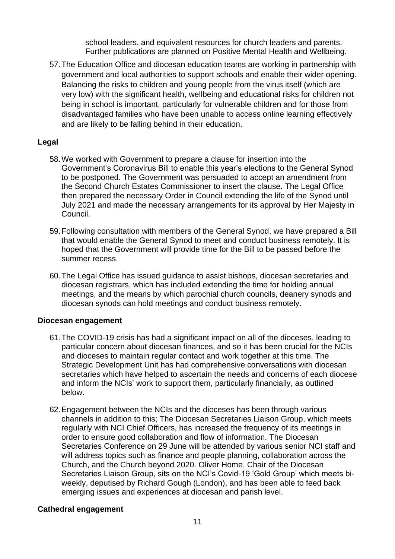school leaders, and equivalent resources for church leaders and parents. Further publications are planned on Positive Mental Health and Wellbeing.

57.The Education Office and diocesan education teams are working in partnership with government and local authorities to support schools and enable their wider opening. Balancing the risks to children and young people from the virus itself (which are very low) with the significant health, wellbeing and educational risks for children not being in school is important, particularly for vulnerable children and for those from disadvantaged families who have been unable to access online learning effectively and are likely to be falling behind in their education.

## **Legal**

- 58.We worked with Government to prepare a clause for insertion into the Government's Coronavirus Bill to enable this year's elections to the General Synod to be postponed. The Government was persuaded to accept an amendment from the Second Church Estates Commissioner to insert the clause. The Legal Office then prepared the necessary Order in Council extending the life of the Synod until July 2021 and made the necessary arrangements for its approval by Her Majesty in Council.
- 59.Following consultation with members of the General Synod, we have prepared a Bill that would enable the General Synod to meet and conduct business remotely. It is hoped that the Government will provide time for the Bill to be passed before the summer recess.
- 60.The Legal Office has issued guidance to assist bishops, diocesan secretaries and diocesan registrars, which has included extending the time for holding annual meetings, and the means by which parochial church councils, deanery synods and diocesan synods can hold meetings and conduct business remotely.

## **Diocesan engagement**

- 61.The COVID-19 crisis has had a significant impact on all of the dioceses, leading to particular concern about diocesan finances, and so it has been crucial for the NCIs and dioceses to maintain regular contact and work together at this time. The Strategic Development Unit has had comprehensive conversations with diocesan secretaries which have helped to ascertain the needs and concerns of each diocese and inform the NCIs' work to support them, particularly financially, as outlined below.
- 62.Engagement between the NCIs and the dioceses has been through various channels in addition to this; The Diocesan Secretaries Liaison Group, which meets regularly with NCI Chief Officers, has increased the frequency of its meetings in order to ensure good collaboration and flow of information. The Diocesan Secretaries Conference on 29 June will be attended by various senior NCI staff and will address topics such as finance and people planning, collaboration across the Church, and the Church beyond 2020. Oliver Home, Chair of the Diocesan Secretaries Liaison Group, sits on the NCI's Covid-19 'Gold Group' which meets biweekly, deputised by Richard Gough (London), and has been able to feed back emerging issues and experiences at diocesan and parish level.

## **Cathedral engagement**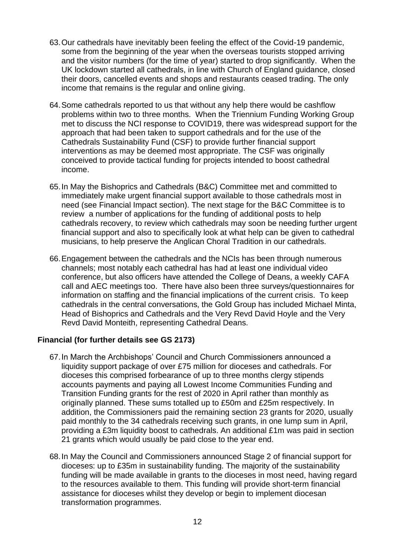- 63.Our cathedrals have inevitably been feeling the effect of the Covid-19 pandemic, some from the beginning of the year when the overseas tourists stopped arriving and the visitor numbers (for the time of year) started to drop significantly. When the UK lockdown started all cathedrals, in line with Church of England guidance, closed their doors, cancelled events and shops and restaurants ceased trading. The only income that remains is the regular and online giving.
- 64.Some cathedrals reported to us that without any help there would be cashflow problems within two to three months. When the Triennium Funding Working Group met to discuss the NCI response to COVID19, there was widespread support for the approach that had been taken to support cathedrals and for the use of the Cathedrals Sustainability Fund (CSF) to provide further financial support interventions as may be deemed most appropriate. The CSF was originally conceived to provide tactical funding for projects intended to boost cathedral income.
- 65.In May the Bishoprics and Cathedrals (B&C) Committee met and committed to immediately make urgent financial support available to those cathedrals most in need (see Financial Impact section). The next stage for the B&C Committee is to review a number of applications for the funding of additional posts to help cathedrals recovery, to review which cathedrals may soon be needing further urgent financial support and also to specifically look at what help can be given to cathedral musicians, to help preserve the Anglican Choral Tradition in our cathedrals.
- 66.Engagement between the cathedrals and the NCIs has been through numerous channels; most notably each cathedral has had at least one individual video conference, but also officers have attended the College of Deans, a weekly CAFA call and AEC meetings too. There have also been three surveys/questionnaires for information on staffing and the financial implications of the current crisis. To keep cathedrals in the central conversations, the Gold Group has included Michael Minta, Head of Bishoprics and Cathedrals and the Very Revd David Hoyle and the Very Revd David Monteith, representing Cathedral Deans.

## **Financial (for further details see GS 2173)**

- 67.In March the Archbishops' Council and Church Commissioners announced a liquidity support package of over £75 million for dioceses and cathedrals. For dioceses this comprised forbearance of up to three months clergy stipends accounts payments and paying all Lowest Income Communities Funding and Transition Funding grants for the rest of 2020 in April rather than monthly as originally planned. These sums totalled up to £50m and £25m respectively. In addition, the Commissioners paid the remaining section 23 grants for 2020, usually paid monthly to the 34 cathedrals receiving such grants, in one lump sum in April, providing a £3m liquidity boost to cathedrals. An additional £1m was paid in section 21 grants which would usually be paid close to the year end.
- 68.In May the Council and Commissioners announced Stage 2 of financial support for dioceses: up to £35m in sustainability funding. The majority of the sustainability funding will be made available in grants to the dioceses in most need, having regard to the resources available to them. This funding will provide short-term financial assistance for dioceses whilst they develop or begin to implement diocesan transformation programmes.